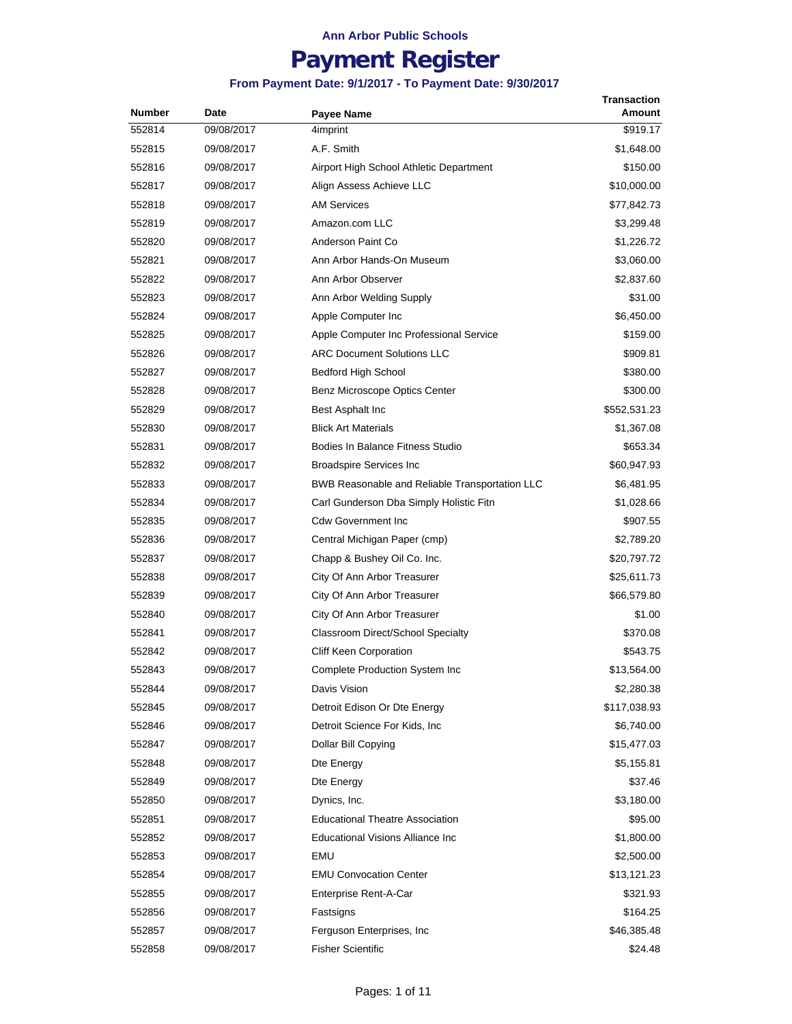## **Payment Register**

| Number | Date       | <b>Payee Name</b>                              | Transaction<br>Amount |
|--------|------------|------------------------------------------------|-----------------------|
| 552814 | 09/08/2017 | 4imprint                                       | \$919.17              |
| 552815 | 09/08/2017 | A.F. Smith                                     | \$1,648.00            |
| 552816 | 09/08/2017 | Airport High School Athletic Department        | \$150.00              |
| 552817 | 09/08/2017 | Align Assess Achieve LLC                       | \$10,000.00           |
| 552818 | 09/08/2017 | <b>AM Services</b>                             | \$77,842.73           |
| 552819 | 09/08/2017 | Amazon.com LLC                                 | \$3,299.48            |
| 552820 | 09/08/2017 | Anderson Paint Co                              | \$1,226.72            |
| 552821 | 09/08/2017 | Ann Arbor Hands-On Museum                      | \$3,060.00            |
| 552822 | 09/08/2017 | Ann Arbor Observer                             | \$2,837.60            |
| 552823 | 09/08/2017 | Ann Arbor Welding Supply                       | \$31.00               |
| 552824 | 09/08/2017 | Apple Computer Inc                             | \$6,450.00            |
| 552825 | 09/08/2017 | Apple Computer Inc Professional Service        | \$159.00              |
| 552826 | 09/08/2017 | <b>ARC Document Solutions LLC</b>              | \$909.81              |
| 552827 | 09/08/2017 | <b>Bedford High School</b>                     | \$380.00              |
| 552828 | 09/08/2017 | Benz Microscope Optics Center                  | \$300.00              |
| 552829 | 09/08/2017 | Best Asphalt Inc                               | \$552,531.23          |
| 552830 | 09/08/2017 | <b>Blick Art Materials</b>                     | \$1,367.08            |
| 552831 | 09/08/2017 | Bodies In Balance Fitness Studio               | \$653.34              |
| 552832 | 09/08/2017 | <b>Broadspire Services Inc</b>                 | \$60,947.93           |
| 552833 | 09/08/2017 | BWB Reasonable and Reliable Transportation LLC | \$6,481.95            |
| 552834 | 09/08/2017 | Carl Gunderson Dba Simply Holistic Fitn        | \$1,028.66            |
| 552835 | 09/08/2017 | <b>Cdw Government Inc.</b>                     | \$907.55              |
| 552836 | 09/08/2017 | Central Michigan Paper (cmp)                   | \$2,789.20            |
| 552837 | 09/08/2017 | Chapp & Bushey Oil Co. Inc.                    | \$20,797.72           |
| 552838 | 09/08/2017 | City Of Ann Arbor Treasurer                    | \$25,611.73           |
| 552839 | 09/08/2017 | City Of Ann Arbor Treasurer                    | \$66,579.80           |
| 552840 | 09/08/2017 | City Of Ann Arbor Treasurer                    | \$1.00                |
| 552841 | 09/08/2017 | Classroom Direct/School Specialty              | \$370.08              |
| 552842 | 09/08/2017 | Cliff Keen Corporation                         | \$543.75              |
| 552843 | 09/08/2017 | Complete Production System Inc                 | \$13,564.00           |
| 552844 | 09/08/2017 | Davis Vision                                   | \$2,280.38            |
| 552845 | 09/08/2017 | Detroit Edison Or Dte Energy                   | \$117,038.93          |
| 552846 | 09/08/2017 | Detroit Science For Kids, Inc.                 | \$6,740.00            |
| 552847 | 09/08/2017 | Dollar Bill Copying                            | \$15,477.03           |
| 552848 | 09/08/2017 | Dte Energy                                     | \$5,155.81            |
| 552849 | 09/08/2017 | Dte Energy                                     | \$37.46               |
| 552850 | 09/08/2017 | Dynics, Inc.                                   | \$3,180.00            |
| 552851 | 09/08/2017 | <b>Educational Theatre Association</b>         | \$95.00               |
| 552852 | 09/08/2017 | Educational Visions Alliance Inc               | \$1,800.00            |
| 552853 | 09/08/2017 | EMU                                            | \$2,500.00            |
| 552854 | 09/08/2017 | <b>EMU Convocation Center</b>                  | \$13,121.23           |
| 552855 | 09/08/2017 | Enterprise Rent-A-Car                          | \$321.93              |
| 552856 | 09/08/2017 | Fastsigns                                      | \$164.25              |
| 552857 | 09/08/2017 | Ferguson Enterprises, Inc.                     | \$46,385.48           |
| 552858 | 09/08/2017 | <b>Fisher Scientific</b>                       | \$24.48               |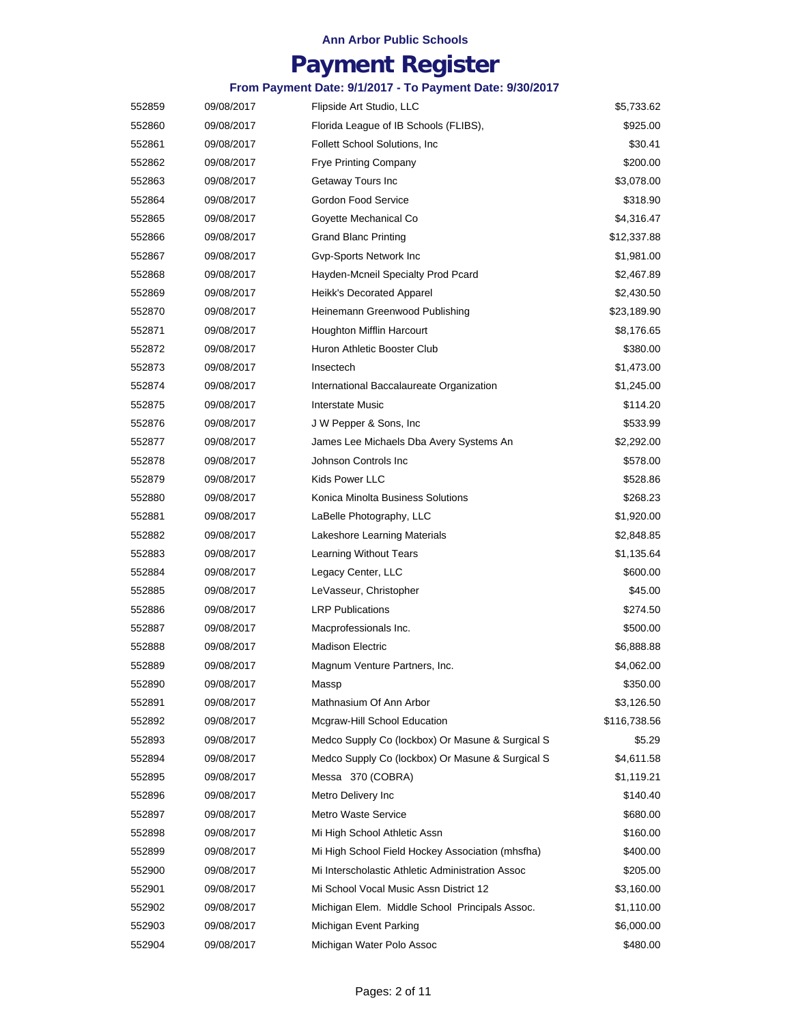## **Payment Register**

| 552859 | 09/08/2017 | Flipside Art Studio, LLC                         | \$5,733.62   |
|--------|------------|--------------------------------------------------|--------------|
| 552860 | 09/08/2017 | Florida League of IB Schools (FLIBS),            | \$925.00     |
| 552861 | 09/08/2017 | <b>Follett School Solutions, Inc.</b>            | \$30.41      |
| 552862 | 09/08/2017 | <b>Frye Printing Company</b>                     | \$200.00     |
| 552863 | 09/08/2017 | Getaway Tours Inc                                | \$3,078.00   |
| 552864 | 09/08/2017 | Gordon Food Service                              | \$318.90     |
| 552865 | 09/08/2017 | Goyette Mechanical Co                            | \$4,316.47   |
| 552866 | 09/08/2017 | <b>Grand Blanc Printing</b>                      | \$12,337.88  |
| 552867 | 09/08/2017 | Gvp-Sports Network Inc                           | \$1,981.00   |
| 552868 | 09/08/2017 | Hayden-Mcneil Specialty Prod Pcard               | \$2,467.89   |
| 552869 | 09/08/2017 | Heikk's Decorated Apparel                        | \$2,430.50   |
| 552870 | 09/08/2017 | Heinemann Greenwood Publishing                   | \$23,189.90  |
| 552871 | 09/08/2017 | Houghton Mifflin Harcourt                        | \$8,176.65   |
| 552872 | 09/08/2017 | Huron Athletic Booster Club                      | \$380.00     |
| 552873 | 09/08/2017 | Insectech                                        | \$1,473.00   |
| 552874 | 09/08/2017 | International Baccalaureate Organization         | \$1,245.00   |
| 552875 | 09/08/2017 | Interstate Music                                 | \$114.20     |
| 552876 | 09/08/2017 | J W Pepper & Sons, Inc.                          | \$533.99     |
| 552877 | 09/08/2017 | James Lee Michaels Dba Avery Systems An          | \$2,292.00   |
| 552878 | 09/08/2017 | Johnson Controls Inc                             | \$578.00     |
| 552879 | 09/08/2017 | Kids Power LLC                                   | \$528.86     |
| 552880 | 09/08/2017 | Konica Minolta Business Solutions                | \$268.23     |
| 552881 | 09/08/2017 | LaBelle Photography, LLC                         | \$1,920.00   |
| 552882 | 09/08/2017 | Lakeshore Learning Materials                     | \$2,848.85   |
| 552883 | 09/08/2017 | Learning Without Tears                           | \$1,135.64   |
| 552884 | 09/08/2017 | Legacy Center, LLC                               | \$600.00     |
| 552885 | 09/08/2017 | LeVasseur, Christopher                           | \$45.00      |
| 552886 | 09/08/2017 | <b>LRP Publications</b>                          | \$274.50     |
| 552887 | 09/08/2017 | Macprofessionals Inc.                            | \$500.00     |
| 552888 | 09/08/2017 | <b>Madison Electric</b>                          | \$6,888.88   |
| 552889 | 09/08/2017 | Magnum Venture Partners, Inc.                    | \$4,062.00   |
| 552890 | 09/08/2017 | Massp                                            | \$350.00     |
| 552891 | 09/08/2017 | Mathnasium Of Ann Arbor                          | \$3,126.50   |
| 552892 | 09/08/2017 | Mcgraw-Hill School Education                     | \$116,738.56 |
| 552893 | 09/08/2017 | Medco Supply Co (lockbox) Or Masune & Surgical S | \$5.29       |
| 552894 | 09/08/2017 | Medco Supply Co (lockbox) Or Masune & Surgical S | \$4,611.58   |
| 552895 | 09/08/2017 | Messa 370 (COBRA)                                | \$1,119.21   |
| 552896 | 09/08/2017 | Metro Delivery Inc                               | \$140.40     |
| 552897 | 09/08/2017 | Metro Waste Service                              | \$680.00     |
| 552898 | 09/08/2017 | Mi High School Athletic Assn                     | \$160.00     |
| 552899 | 09/08/2017 | Mi High School Field Hockey Association (mhsfha) | \$400.00     |
| 552900 | 09/08/2017 | Mi Interscholastic Athletic Administration Assoc | \$205.00     |
| 552901 | 09/08/2017 | Mi School Vocal Music Assn District 12           | \$3,160.00   |
| 552902 | 09/08/2017 | Michigan Elem. Middle School Principals Assoc.   | \$1,110.00   |
| 552903 | 09/08/2017 | Michigan Event Parking                           | \$6,000.00   |
| 552904 | 09/08/2017 | Michigan Water Polo Assoc                        | \$480.00     |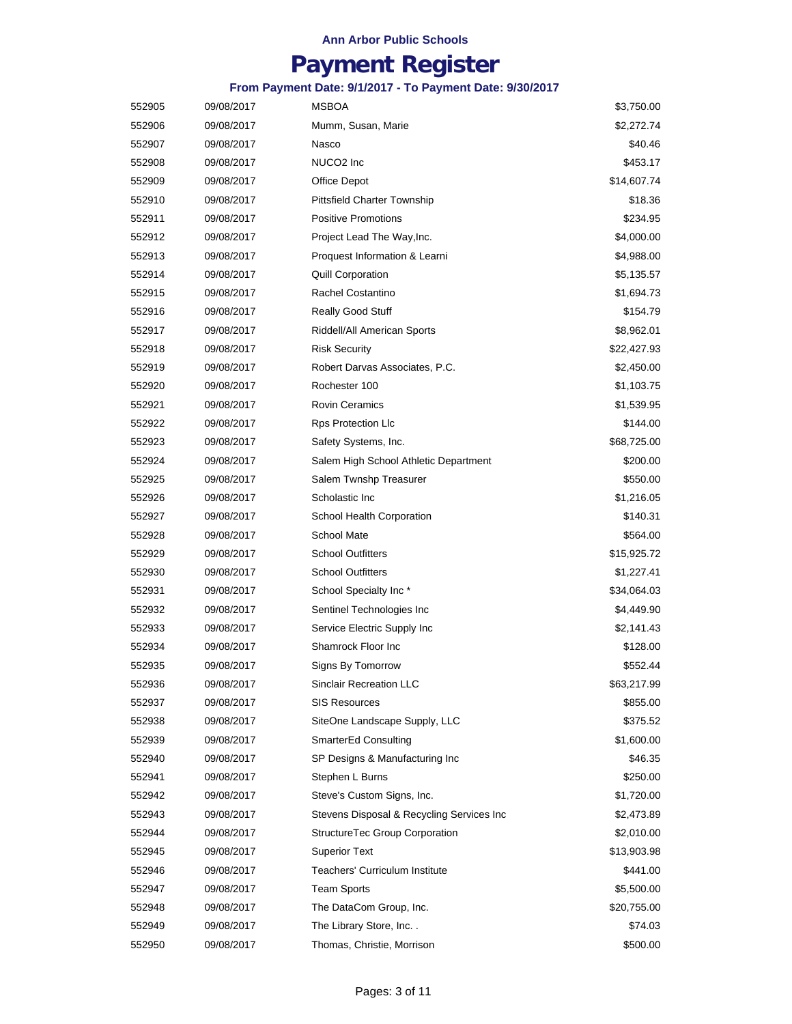## **Payment Register**

| 552905 | 09/08/2017 | MSBOA                                     | \$3,750.00  |
|--------|------------|-------------------------------------------|-------------|
| 552906 | 09/08/2017 | Mumm, Susan, Marie                        | \$2,272.74  |
| 552907 | 09/08/2017 | Nasco                                     | \$40.46     |
| 552908 | 09/08/2017 | NUCO2 Inc                                 | \$453.17    |
| 552909 | 09/08/2017 | Office Depot                              | \$14,607.74 |
| 552910 | 09/08/2017 | Pittsfield Charter Township               | \$18.36     |
| 552911 | 09/08/2017 | <b>Positive Promotions</b>                | \$234.95    |
| 552912 | 09/08/2017 | Project Lead The Way, Inc.                | \$4,000.00  |
| 552913 | 09/08/2017 | Proquest Information & Learni             | \$4,988.00  |
| 552914 | 09/08/2017 | <b>Quill Corporation</b>                  | \$5,135.57  |
| 552915 | 09/08/2017 | Rachel Costantino                         | \$1,694.73  |
| 552916 | 09/08/2017 | <b>Really Good Stuff</b>                  | \$154.79    |
| 552917 | 09/08/2017 | Riddell/All American Sports               | \$8,962.01  |
| 552918 | 09/08/2017 | <b>Risk Security</b>                      | \$22,427.93 |
| 552919 | 09/08/2017 | Robert Darvas Associates, P.C.            | \$2,450.00  |
| 552920 | 09/08/2017 | Rochester 100                             | \$1,103.75  |
| 552921 | 09/08/2017 | <b>Rovin Ceramics</b>                     | \$1,539.95  |
| 552922 | 09/08/2017 | <b>Rps Protection Llc</b>                 | \$144.00    |
| 552923 | 09/08/2017 | Safety Systems, Inc.                      | \$68,725.00 |
| 552924 | 09/08/2017 | Salem High School Athletic Department     | \$200.00    |
| 552925 | 09/08/2017 | Salem Twnshp Treasurer                    | \$550.00    |
| 552926 | 09/08/2017 | Scholastic Inc                            | \$1,216.05  |
| 552927 | 09/08/2017 | School Health Corporation                 | \$140.31    |
| 552928 | 09/08/2017 | <b>School Mate</b>                        | \$564.00    |
| 552929 | 09/08/2017 | <b>School Outfitters</b>                  | \$15,925.72 |
| 552930 | 09/08/2017 | <b>School Outfitters</b>                  | \$1,227.41  |
| 552931 | 09/08/2017 | School Specialty Inc*                     | \$34,064.03 |
| 552932 | 09/08/2017 | Sentinel Technologies Inc                 | \$4,449.90  |
| 552933 | 09/08/2017 | Service Electric Supply Inc               | \$2,141.43  |
| 552934 | 09/08/2017 | Shamrock Floor Inc                        | \$128.00    |
| 552935 | 09/08/2017 | Signs By Tomorrow                         | \$552.44    |
| 552936 | 09/08/2017 | <b>Sinclair Recreation LLC</b>            | \$63,217.99 |
| 552937 | 09/08/2017 | <b>SIS Resources</b>                      | \$855.00    |
| 552938 | 09/08/2017 | SiteOne Landscape Supply, LLC             | \$375.52    |
| 552939 | 09/08/2017 | SmarterEd Consulting                      | \$1,600.00  |
| 552940 | 09/08/2017 | SP Designs & Manufacturing Inc            | \$46.35     |
| 552941 | 09/08/2017 | Stephen L Burns                           | \$250.00    |
| 552942 | 09/08/2017 | Steve's Custom Signs, Inc.                | \$1,720.00  |
| 552943 | 09/08/2017 | Stevens Disposal & Recycling Services Inc | \$2,473.89  |
| 552944 | 09/08/2017 | StructureTec Group Corporation            | \$2,010.00  |
| 552945 | 09/08/2017 | <b>Superior Text</b>                      | \$13,903.98 |
| 552946 | 09/08/2017 | <b>Teachers' Curriculum Institute</b>     | \$441.00    |
| 552947 | 09/08/2017 | <b>Team Sports</b>                        | \$5,500.00  |
| 552948 | 09/08/2017 | The DataCom Group, Inc.                   | \$20,755.00 |
| 552949 | 09/08/2017 | The Library Store, Inc. .                 | \$74.03     |
| 552950 | 09/08/2017 | Thomas, Christie, Morrison                | \$500.00    |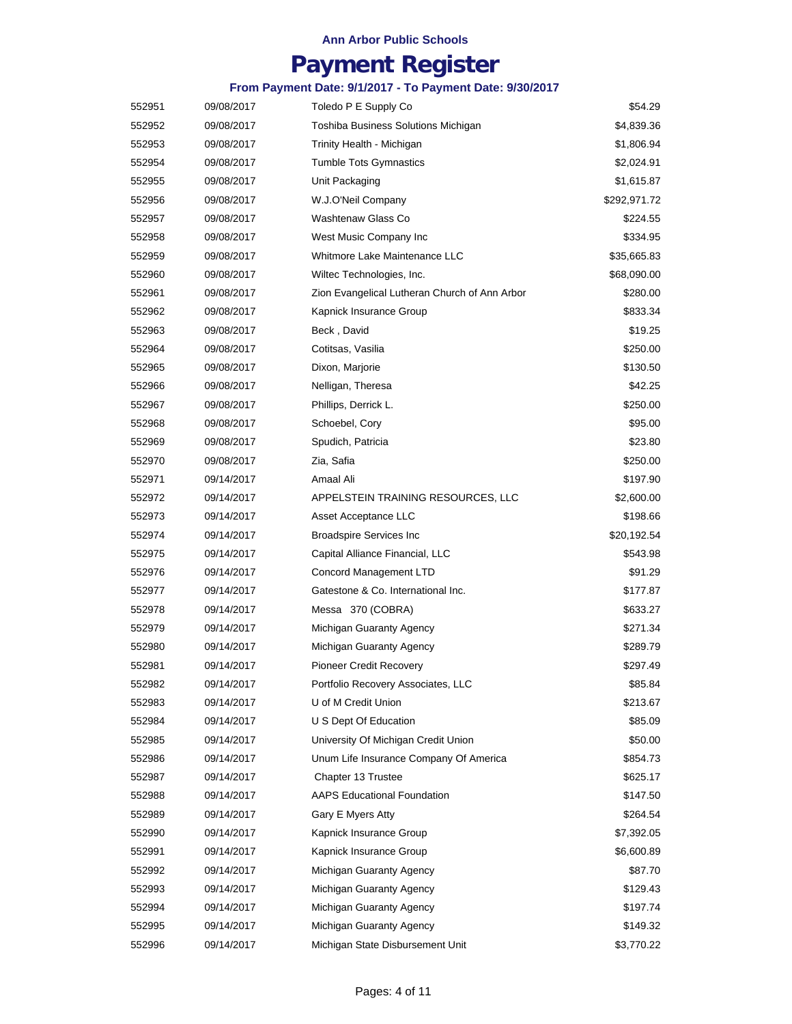## **Payment Register**

| 552951 | 09/08/2017 | Toledo P E Supply Co                          | \$54.29      |
|--------|------------|-----------------------------------------------|--------------|
| 552952 | 09/08/2017 | Toshiba Business Solutions Michigan           | \$4,839.36   |
| 552953 | 09/08/2017 | Trinity Health - Michigan                     | \$1,806.94   |
| 552954 | 09/08/2017 | <b>Tumble Tots Gymnastics</b>                 | \$2,024.91   |
| 552955 | 09/08/2017 | Unit Packaging                                | \$1,615.87   |
| 552956 | 09/08/2017 | W.J.O'Neil Company                            | \$292,971.72 |
| 552957 | 09/08/2017 | Washtenaw Glass Co                            | \$224.55     |
| 552958 | 09/08/2017 | West Music Company Inc                        | \$334.95     |
| 552959 | 09/08/2017 | Whitmore Lake Maintenance LLC                 | \$35,665.83  |
| 552960 | 09/08/2017 | Wiltec Technologies, Inc.                     | \$68,090.00  |
| 552961 | 09/08/2017 | Zion Evangelical Lutheran Church of Ann Arbor | \$280.00     |
| 552962 | 09/08/2017 | Kapnick Insurance Group                       | \$833.34     |
| 552963 | 09/08/2017 | Beck, David                                   | \$19.25      |
| 552964 | 09/08/2017 | Cotitsas, Vasilia                             | \$250.00     |
| 552965 | 09/08/2017 | Dixon, Marjorie                               | \$130.50     |
| 552966 | 09/08/2017 | Nelligan, Theresa                             | \$42.25      |
| 552967 | 09/08/2017 | Phillips, Derrick L.                          | \$250.00     |
| 552968 | 09/08/2017 | Schoebel, Cory                                | \$95.00      |
| 552969 | 09/08/2017 | Spudich, Patricia                             | \$23.80      |
| 552970 | 09/08/2017 | Zia, Safia                                    | \$250.00     |
| 552971 | 09/14/2017 | Amaal Ali                                     | \$197.90     |
| 552972 | 09/14/2017 | APPELSTEIN TRAINING RESOURCES, LLC            | \$2,600.00   |
| 552973 | 09/14/2017 | Asset Acceptance LLC                          | \$198.66     |
| 552974 | 09/14/2017 | <b>Broadspire Services Inc</b>                | \$20,192.54  |
| 552975 | 09/14/2017 | Capital Alliance Financial, LLC               | \$543.98     |
| 552976 | 09/14/2017 | Concord Management LTD                        | \$91.29      |
| 552977 | 09/14/2017 | Gatestone & Co. International Inc.            | \$177.87     |
| 552978 | 09/14/2017 | Messa 370 (COBRA)                             | \$633.27     |
| 552979 | 09/14/2017 | Michigan Guaranty Agency                      | \$271.34     |
| 552980 | 09/14/2017 | Michigan Guaranty Agency                      | \$289.79     |
| 552981 | 09/14/2017 | <b>Pioneer Credit Recovery</b>                | \$297.49     |
| 552982 | 09/14/2017 | Portfolio Recovery Associates, LLC            | \$85.84      |
| 552983 | 09/14/2017 | U of M Credit Union                           | \$213.67     |
| 552984 | 09/14/2017 | U S Dept Of Education                         | \$85.09      |
| 552985 | 09/14/2017 | University Of Michigan Credit Union           | \$50.00      |
| 552986 | 09/14/2017 | Unum Life Insurance Company Of America        | \$854.73     |
| 552987 | 09/14/2017 | Chapter 13 Trustee                            | \$625.17     |
| 552988 | 09/14/2017 | <b>AAPS Educational Foundation</b>            | \$147.50     |
| 552989 | 09/14/2017 | Gary E Myers Atty                             | \$264.54     |
| 552990 | 09/14/2017 | Kapnick Insurance Group                       | \$7,392.05   |
| 552991 | 09/14/2017 | Kapnick Insurance Group                       | \$6,600.89   |
| 552992 | 09/14/2017 | Michigan Guaranty Agency                      | \$87.70      |
| 552993 | 09/14/2017 | Michigan Guaranty Agency                      | \$129.43     |
| 552994 | 09/14/2017 | Michigan Guaranty Agency                      | \$197.74     |
| 552995 | 09/14/2017 | Michigan Guaranty Agency                      | \$149.32     |
| 552996 | 09/14/2017 | Michigan State Disbursement Unit              | \$3,770.22   |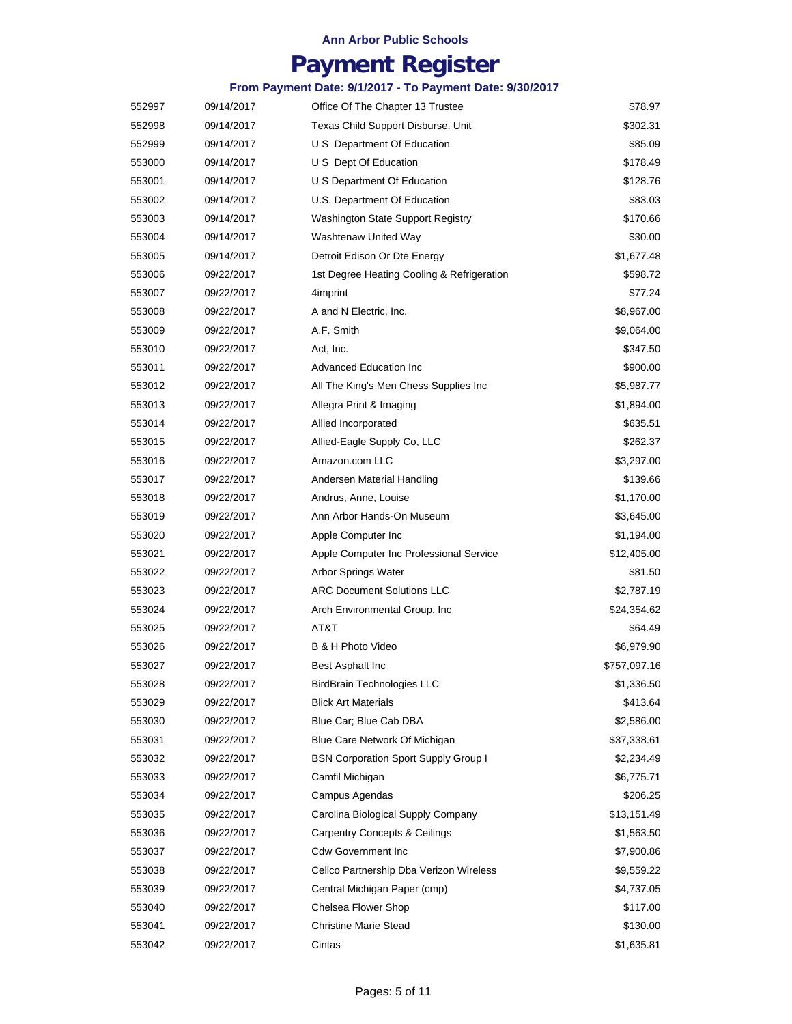## **Payment Register**

| 552997 | 09/14/2017 | Office Of The Chapter 13 Trustee            | \$78.97      |
|--------|------------|---------------------------------------------|--------------|
| 552998 | 09/14/2017 | Texas Child Support Disburse. Unit          | \$302.31     |
| 552999 | 09/14/2017 | U S Department Of Education                 | \$85.09      |
| 553000 | 09/14/2017 | U S Dept Of Education                       | \$178.49     |
| 553001 | 09/14/2017 | U S Department Of Education                 | \$128.76     |
| 553002 | 09/14/2017 | U.S. Department Of Education                | \$83.03      |
| 553003 | 09/14/2017 | <b>Washington State Support Registry</b>    | \$170.66     |
| 553004 | 09/14/2017 | Washtenaw United Way                        | \$30.00      |
| 553005 | 09/14/2017 | Detroit Edison Or Dte Energy                | \$1,677.48   |
| 553006 | 09/22/2017 | 1st Degree Heating Cooling & Refrigeration  | \$598.72     |
| 553007 | 09/22/2017 | 4imprint                                    | \$77.24      |
| 553008 | 09/22/2017 | A and N Electric, Inc.                      | \$8,967.00   |
| 553009 | 09/22/2017 | A.F. Smith                                  | \$9,064.00   |
| 553010 | 09/22/2017 | Act, Inc.                                   | \$347.50     |
| 553011 | 09/22/2017 | <b>Advanced Education Inc</b>               | \$900.00     |
| 553012 | 09/22/2017 | All The King's Men Chess Supplies Inc       | \$5,987.77   |
| 553013 | 09/22/2017 | Allegra Print & Imaging                     | \$1,894.00   |
| 553014 | 09/22/2017 | Allied Incorporated                         | \$635.51     |
| 553015 | 09/22/2017 | Allied-Eagle Supply Co, LLC                 | \$262.37     |
| 553016 | 09/22/2017 | Amazon.com LLC                              | \$3,297.00   |
| 553017 | 09/22/2017 | Andersen Material Handling                  | \$139.66     |
| 553018 | 09/22/2017 | Andrus, Anne, Louise                        | \$1,170.00   |
| 553019 | 09/22/2017 | Ann Arbor Hands-On Museum                   | \$3,645.00   |
| 553020 | 09/22/2017 | Apple Computer Inc                          | \$1,194.00   |
| 553021 | 09/22/2017 | Apple Computer Inc Professional Service     | \$12,405.00  |
| 553022 | 09/22/2017 | <b>Arbor Springs Water</b>                  | \$81.50      |
| 553023 | 09/22/2017 | <b>ARC Document Solutions LLC</b>           | \$2,787.19   |
| 553024 | 09/22/2017 | Arch Environmental Group, Inc.              | \$24,354.62  |
| 553025 | 09/22/2017 | AT&T                                        | \$64.49      |
| 553026 | 09/22/2017 | B & H Photo Video                           | \$6,979.90   |
| 553027 | 09/22/2017 | Best Asphalt Inc                            | \$757,097.16 |
| 553028 | 09/22/2017 | <b>BirdBrain Technologies LLC</b>           | \$1,336.50   |
| 553029 | 09/22/2017 | <b>Blick Art Materials</b>                  | \$413.64     |
| 553030 | 09/22/2017 | Blue Car; Blue Cab DBA                      | \$2,586.00   |
| 553031 | 09/22/2017 | Blue Care Network Of Michigan               | \$37,338.61  |
| 553032 | 09/22/2017 | <b>BSN Corporation Sport Supply Group I</b> | \$2,234.49   |
| 553033 | 09/22/2017 | Camfil Michigan                             | \$6,775.71   |
| 553034 | 09/22/2017 | Campus Agendas                              | \$206.25     |
| 553035 | 09/22/2017 | Carolina Biological Supply Company          | \$13,151.49  |
| 553036 | 09/22/2017 | <b>Carpentry Concepts &amp; Ceilings</b>    | \$1,563.50   |
| 553037 | 09/22/2017 | <b>Cdw Government Inc</b>                   | \$7,900.86   |
| 553038 | 09/22/2017 | Cellco Partnership Dba Verizon Wireless     | \$9,559.22   |
| 553039 | 09/22/2017 | Central Michigan Paper (cmp)                | \$4,737.05   |
| 553040 | 09/22/2017 | Chelsea Flower Shop                         | \$117.00     |
| 553041 | 09/22/2017 | <b>Christine Marie Stead</b>                | \$130.00     |
| 553042 | 09/22/2017 | Cintas                                      | \$1,635.81   |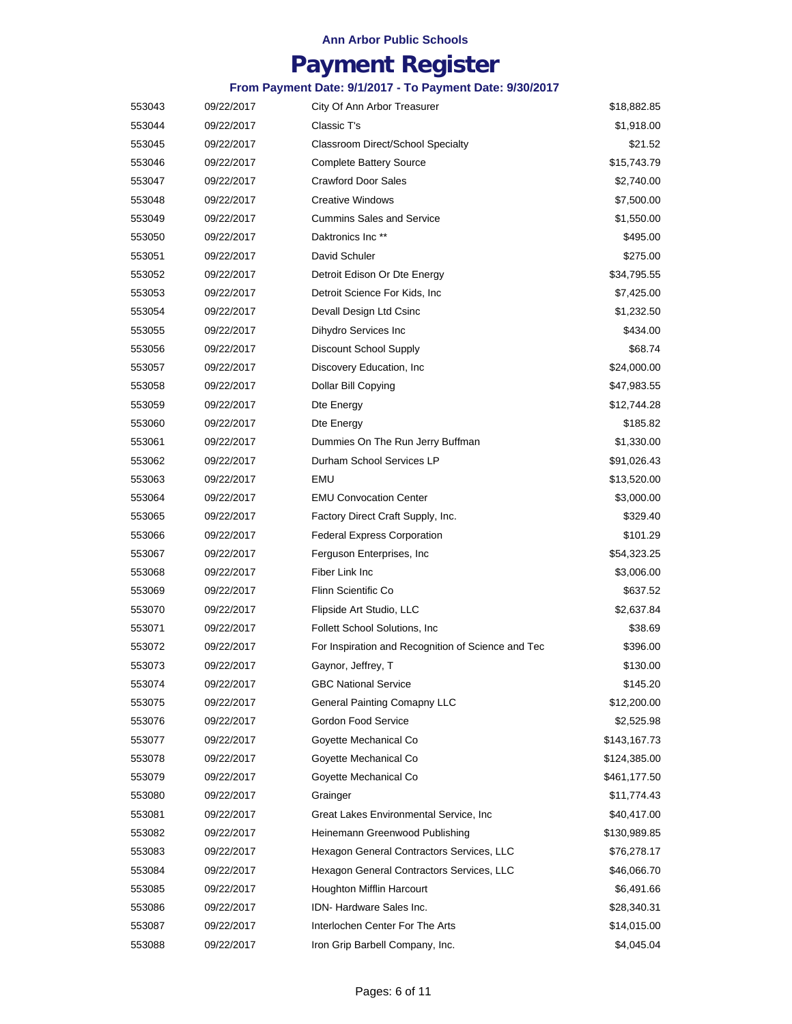## **Payment Register**

| 553043 | 09/22/2017 | City Of Ann Arbor Treasurer                        | \$18,882.85  |
|--------|------------|----------------------------------------------------|--------------|
| 553044 | 09/22/2017 | Classic T's                                        | \$1,918.00   |
| 553045 | 09/22/2017 | Classroom Direct/School Specialty                  | \$21.52      |
| 553046 | 09/22/2017 | <b>Complete Battery Source</b>                     | \$15,743.79  |
| 553047 | 09/22/2017 | <b>Crawford Door Sales</b>                         | \$2,740.00   |
| 553048 | 09/22/2017 | <b>Creative Windows</b>                            | \$7,500.00   |
| 553049 | 09/22/2017 | <b>Cummins Sales and Service</b>                   | \$1,550.00   |
| 553050 | 09/22/2017 | Daktronics Inc <sup>**</sup>                       | \$495.00     |
| 553051 | 09/22/2017 | David Schuler                                      | \$275.00     |
| 553052 | 09/22/2017 | Detroit Edison Or Dte Energy                       | \$34,795.55  |
| 553053 | 09/22/2017 | Detroit Science For Kids, Inc.                     | \$7,425.00   |
| 553054 | 09/22/2017 | Devall Design Ltd Csinc                            | \$1,232.50   |
| 553055 | 09/22/2017 | Dihydro Services Inc                               | \$434.00     |
| 553056 | 09/22/2017 | Discount School Supply                             | \$68.74      |
| 553057 | 09/22/2017 | Discovery Education, Inc.                          | \$24,000.00  |
| 553058 | 09/22/2017 | Dollar Bill Copying                                | \$47,983.55  |
| 553059 | 09/22/2017 | Dte Energy                                         | \$12,744.28  |
| 553060 | 09/22/2017 | Dte Energy                                         | \$185.82     |
| 553061 | 09/22/2017 | Dummies On The Run Jerry Buffman                   | \$1,330.00   |
| 553062 | 09/22/2017 | Durham School Services LP                          | \$91,026.43  |
| 553063 | 09/22/2017 | <b>EMU</b>                                         | \$13,520.00  |
| 553064 | 09/22/2017 | <b>EMU Convocation Center</b>                      | \$3,000.00   |
| 553065 | 09/22/2017 | Factory Direct Craft Supply, Inc.                  | \$329.40     |
| 553066 | 09/22/2017 | <b>Federal Express Corporation</b>                 | \$101.29     |
| 553067 | 09/22/2017 | Ferguson Enterprises, Inc.                         | \$54,323.25  |
| 553068 | 09/22/2017 | Fiber Link Inc                                     | \$3,006.00   |
| 553069 | 09/22/2017 | Flinn Scientific Co                                | \$637.52     |
| 553070 | 09/22/2017 | Flipside Art Studio, LLC                           | \$2,637.84   |
| 553071 | 09/22/2017 | <b>Follett School Solutions, Inc.</b>              | \$38.69      |
| 553072 | 09/22/2017 | For Inspiration and Recognition of Science and Tec | \$396.00     |
| 553073 | 09/22/2017 | Gaynor, Jeffrey, T                                 | \$130.00     |
| 553074 | 09/22/2017 | <b>GBC National Service</b>                        | \$145.20     |
| 553075 | 09/22/2017 | <b>General Painting Comapny LLC</b>                | \$12,200.00  |
| 553076 | 09/22/2017 | Gordon Food Service                                | \$2,525.98   |
| 553077 | 09/22/2017 | Goyette Mechanical Co                              | \$143,167.73 |
| 553078 | 09/22/2017 | Goyette Mechanical Co                              | \$124,385.00 |
| 553079 | 09/22/2017 | Goyette Mechanical Co                              | \$461,177.50 |
| 553080 | 09/22/2017 | Grainger                                           | \$11,774.43  |
| 553081 | 09/22/2017 | Great Lakes Environmental Service, Inc.            | \$40,417.00  |
| 553082 | 09/22/2017 | Heinemann Greenwood Publishing                     | \$130,989.85 |
| 553083 | 09/22/2017 | Hexagon General Contractors Services, LLC          | \$76,278.17  |
| 553084 | 09/22/2017 | Hexagon General Contractors Services, LLC          | \$46,066.70  |
| 553085 | 09/22/2017 | Houghton Mifflin Harcourt                          | \$6,491.66   |
| 553086 | 09/22/2017 | IDN- Hardware Sales Inc.                           | \$28,340.31  |
| 553087 | 09/22/2017 | Interlochen Center For The Arts                    | \$14,015.00  |
| 553088 | 09/22/2017 | Iron Grip Barbell Company, Inc.                    | \$4,045.04   |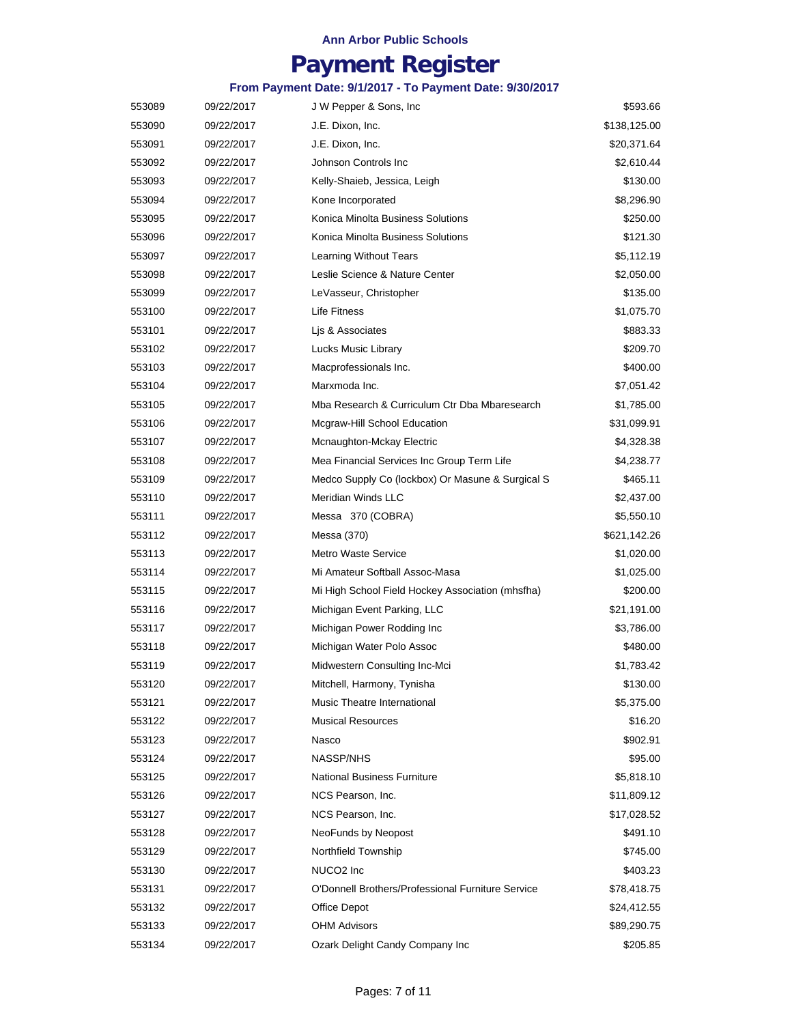## **Payment Register**

| 553089 | 09/22/2017 | J W Pepper & Sons, Inc.                           | \$593.66     |
|--------|------------|---------------------------------------------------|--------------|
| 553090 | 09/22/2017 | J.E. Dixon, Inc.                                  | \$138,125.00 |
| 553091 | 09/22/2017 | J.E. Dixon, Inc.                                  | \$20,371.64  |
| 553092 | 09/22/2017 | Johnson Controls Inc                              | \$2,610.44   |
| 553093 | 09/22/2017 | Kelly-Shaieb, Jessica, Leigh                      | \$130.00     |
| 553094 | 09/22/2017 | Kone Incorporated                                 | \$8,296.90   |
| 553095 | 09/22/2017 | Konica Minolta Business Solutions                 | \$250.00     |
| 553096 | 09/22/2017 | Konica Minolta Business Solutions                 | \$121.30     |
| 553097 | 09/22/2017 | Learning Without Tears                            | \$5,112.19   |
| 553098 | 09/22/2017 | Leslie Science & Nature Center                    | \$2,050.00   |
| 553099 | 09/22/2017 | LeVasseur, Christopher                            | \$135.00     |
| 553100 | 09/22/2017 | Life Fitness                                      | \$1,075.70   |
| 553101 | 09/22/2017 | Lis & Associates                                  | \$883.33     |
| 553102 | 09/22/2017 | Lucks Music Library                               | \$209.70     |
| 553103 | 09/22/2017 | Macprofessionals Inc.                             | \$400.00     |
| 553104 | 09/22/2017 | Marxmoda Inc.                                     | \$7,051.42   |
| 553105 | 09/22/2017 | Mba Research & Curriculum Ctr Dba Mbaresearch     | \$1,785.00   |
| 553106 | 09/22/2017 | Mcgraw-Hill School Education                      | \$31,099.91  |
| 553107 | 09/22/2017 | Mcnaughton-Mckay Electric                         | \$4,328.38   |
| 553108 | 09/22/2017 | Mea Financial Services Inc Group Term Life        | \$4,238.77   |
| 553109 | 09/22/2017 | Medco Supply Co (lockbox) Or Masune & Surgical S  | \$465.11     |
| 553110 | 09/22/2017 | <b>Meridian Winds LLC</b>                         | \$2,437.00   |
| 553111 | 09/22/2017 | Messa 370 (COBRA)                                 | \$5,550.10   |
| 553112 | 09/22/2017 | Messa (370)                                       | \$621,142.26 |
| 553113 | 09/22/2017 | <b>Metro Waste Service</b>                        | \$1,020.00   |
| 553114 | 09/22/2017 | Mi Amateur Softball Assoc-Masa                    | \$1,025.00   |
| 553115 | 09/22/2017 | Mi High School Field Hockey Association (mhsfha)  | \$200.00     |
| 553116 | 09/22/2017 | Michigan Event Parking, LLC                       | \$21,191.00  |
| 553117 | 09/22/2017 | Michigan Power Rodding Inc                        | \$3,786.00   |
| 553118 | 09/22/2017 | Michigan Water Polo Assoc                         | \$480.00     |
| 553119 | 09/22/2017 | Midwestern Consulting Inc-Mci                     | \$1,783.42   |
| 553120 | 09/22/2017 | Mitchell, Harmony, Tynisha                        | \$130.00     |
| 553121 | 09/22/2017 | Music Theatre International                       | \$5,375.00   |
| 553122 | 09/22/2017 | <b>Musical Resources</b>                          | \$16.20      |
| 553123 | 09/22/2017 | Nasco                                             | \$902.91     |
| 553124 | 09/22/2017 | NASSP/NHS                                         | \$95.00      |
| 553125 | 09/22/2017 | <b>National Business Furniture</b>                | \$5,818.10   |
| 553126 | 09/22/2017 | NCS Pearson, Inc.                                 | \$11,809.12  |
| 553127 | 09/22/2017 | NCS Pearson, Inc.                                 | \$17,028.52  |
| 553128 | 09/22/2017 | NeoFunds by Neopost                               | \$491.10     |
| 553129 | 09/22/2017 | Northfield Township                               | \$745.00     |
| 553130 | 09/22/2017 | NUCO <sub>2</sub> Inc                             | \$403.23     |
| 553131 | 09/22/2017 | O'Donnell Brothers/Professional Furniture Service | \$78,418.75  |
| 553132 | 09/22/2017 | Office Depot                                      | \$24,412.55  |
| 553133 | 09/22/2017 | <b>OHM Advisors</b>                               | \$89,290.75  |
| 553134 | 09/22/2017 | Ozark Delight Candy Company Inc                   | \$205.85     |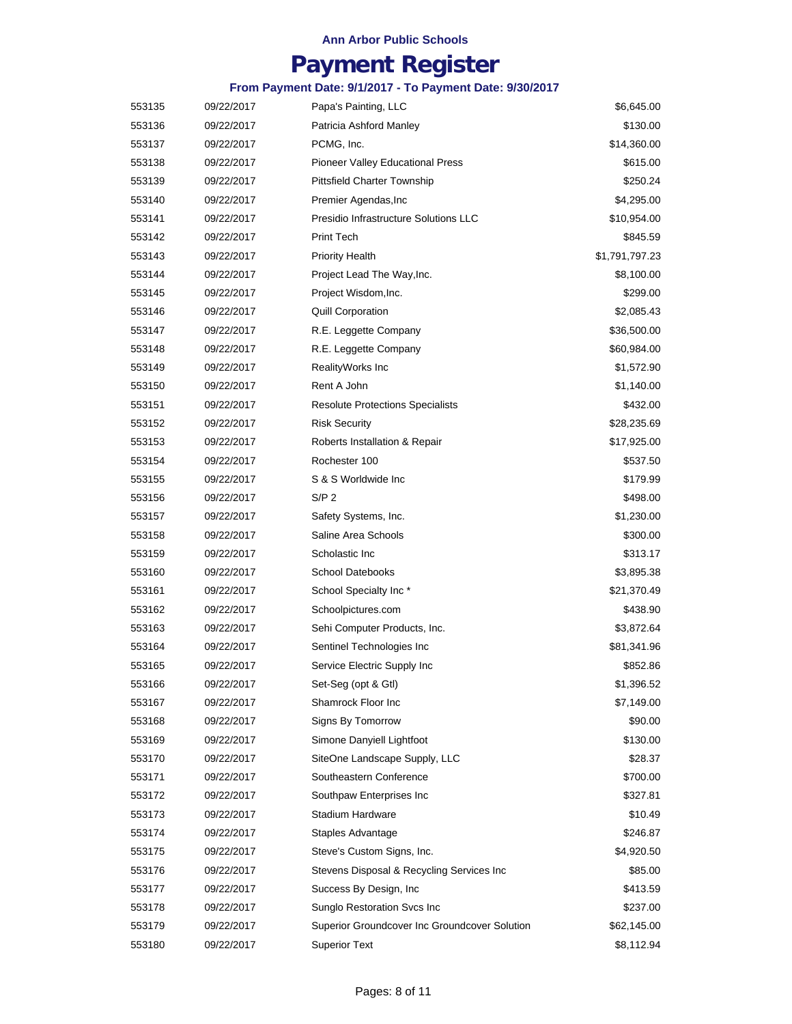## **Payment Register**

| 553135 | 09/22/2017 | Papa's Painting, LLC                          | \$6,645.00     |
|--------|------------|-----------------------------------------------|----------------|
| 553136 | 09/22/2017 | Patricia Ashford Manley                       | \$130.00       |
| 553137 | 09/22/2017 | PCMG, Inc.                                    | \$14,360.00    |
| 553138 | 09/22/2017 | Pioneer Valley Educational Press              | \$615.00       |
| 553139 | 09/22/2017 | Pittsfield Charter Township                   | \$250.24       |
| 553140 | 09/22/2017 | Premier Agendas, Inc                          | \$4,295.00     |
| 553141 | 09/22/2017 | Presidio Infrastructure Solutions LLC         | \$10,954.00    |
| 553142 | 09/22/2017 | Print Tech                                    | \$845.59       |
| 553143 | 09/22/2017 | <b>Priority Health</b>                        | \$1,791,797.23 |
| 553144 | 09/22/2017 | Project Lead The Way, Inc.                    | \$8,100.00     |
| 553145 | 09/22/2017 | Project Wisdom, Inc.                          | \$299.00       |
| 553146 | 09/22/2017 | <b>Quill Corporation</b>                      | \$2,085.43     |
| 553147 | 09/22/2017 | R.E. Leggette Company                         | \$36,500.00    |
| 553148 | 09/22/2017 | R.E. Leggette Company                         | \$60,984.00    |
| 553149 | 09/22/2017 | RealityWorks Inc                              | \$1,572.90     |
| 553150 | 09/22/2017 | Rent A John                                   | \$1,140.00     |
| 553151 | 09/22/2017 | <b>Resolute Protections Specialists</b>       | \$432.00       |
| 553152 | 09/22/2017 | <b>Risk Security</b>                          | \$28,235.69    |
| 553153 | 09/22/2017 | Roberts Installation & Repair                 | \$17,925.00    |
| 553154 | 09/22/2017 | Rochester 100                                 | \$537.50       |
| 553155 | 09/22/2017 | S & S Worldwide Inc                           | \$179.99       |
| 553156 | 09/22/2017 | S/P <sub>2</sub>                              | \$498.00       |
| 553157 | 09/22/2017 | Safety Systems, Inc.                          | \$1,230.00     |
| 553158 | 09/22/2017 | Saline Area Schools                           | \$300.00       |
| 553159 | 09/22/2017 | Scholastic Inc                                | \$313.17       |
| 553160 | 09/22/2017 | <b>School Datebooks</b>                       | \$3,895.38     |
| 553161 | 09/22/2017 | School Specialty Inc*                         | \$21,370.49    |
| 553162 | 09/22/2017 | Schoolpictures.com                            | \$438.90       |
| 553163 | 09/22/2017 | Sehi Computer Products, Inc.                  | \$3,872.64     |
| 553164 | 09/22/2017 | Sentinel Technologies Inc                     | \$81,341.96    |
| 553165 | 09/22/2017 | Service Electric Supply Inc                   | \$852.86       |
| 553166 | 09/22/2017 | Set-Seg (opt & Gtl)                           | \$1,396.52     |
| 553167 | 09/22/2017 | Shamrock Floor Inc                            | \$7,149.00     |
| 553168 | 09/22/2017 | Signs By Tomorrow                             | \$90.00        |
| 553169 | 09/22/2017 | Simone Danyiell Lightfoot                     | \$130.00       |
| 553170 | 09/22/2017 | SiteOne Landscape Supply, LLC                 | \$28.37        |
| 553171 | 09/22/2017 | Southeastern Conference                       | \$700.00       |
| 553172 | 09/22/2017 | Southpaw Enterprises Inc                      | \$327.81       |
| 553173 | 09/22/2017 | Stadium Hardware                              | \$10.49        |
| 553174 | 09/22/2017 | Staples Advantage                             | \$246.87       |
| 553175 | 09/22/2017 | Steve's Custom Signs, Inc.                    | \$4,920.50     |
| 553176 | 09/22/2017 | Stevens Disposal & Recycling Services Inc     | \$85.00        |
| 553177 | 09/22/2017 | Success By Design, Inc.                       | \$413.59       |
| 553178 | 09/22/2017 | Sunglo Restoration Svcs Inc                   | \$237.00       |
| 553179 | 09/22/2017 | Superior Groundcover Inc Groundcover Solution | \$62,145.00    |
| 553180 | 09/22/2017 | <b>Superior Text</b>                          | \$8,112.94     |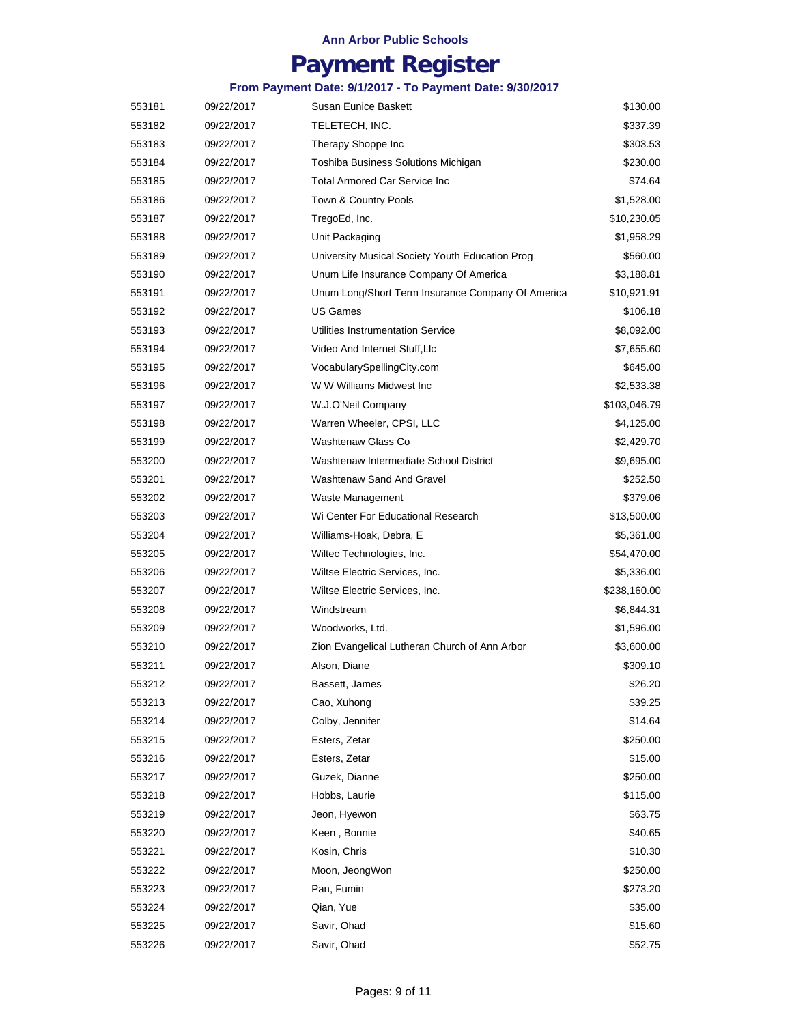## **Payment Register**

| 553181 | 09/22/2017 | Susan Eunice Baskett                              | \$130.00     |
|--------|------------|---------------------------------------------------|--------------|
| 553182 | 09/22/2017 | TELETECH, INC.                                    | \$337.39     |
| 553183 | 09/22/2017 | Therapy Shoppe Inc                                | \$303.53     |
| 553184 | 09/22/2017 | Toshiba Business Solutions Michigan               | \$230.00     |
| 553185 | 09/22/2017 | <b>Total Armored Car Service Inc.</b>             | \$74.64      |
| 553186 | 09/22/2017 | Town & Country Pools                              | \$1,528.00   |
| 553187 | 09/22/2017 | TregoEd, Inc.                                     | \$10,230.05  |
| 553188 | 09/22/2017 | Unit Packaging                                    | \$1,958.29   |
| 553189 | 09/22/2017 | University Musical Society Youth Education Prog   | \$560.00     |
| 553190 | 09/22/2017 | Unum Life Insurance Company Of America            | \$3,188.81   |
| 553191 | 09/22/2017 | Unum Long/Short Term Insurance Company Of America | \$10,921.91  |
| 553192 | 09/22/2017 | US Games                                          | \$106.18     |
| 553193 | 09/22/2017 | Utilities Instrumentation Service                 | \$8,092.00   |
| 553194 | 09/22/2017 | Video And Internet Stuff, Llc                     | \$7,655.60   |
| 553195 | 09/22/2017 | VocabularySpellingCity.com                        | \$645.00     |
| 553196 | 09/22/2017 | W W Williams Midwest Inc                          | \$2,533.38   |
| 553197 | 09/22/2017 | W.J.O'Neil Company                                | \$103,046.79 |
| 553198 | 09/22/2017 | Warren Wheeler, CPSI, LLC                         | \$4,125.00   |
| 553199 | 09/22/2017 | <b>Washtenaw Glass Co</b>                         | \$2,429.70   |
| 553200 | 09/22/2017 | Washtenaw Intermediate School District            | \$9,695.00   |
| 553201 | 09/22/2017 | Washtenaw Sand And Gravel                         | \$252.50     |
| 553202 | 09/22/2017 | Waste Management                                  | \$379.06     |
| 553203 | 09/22/2017 | Wi Center For Educational Research                | \$13,500.00  |
| 553204 | 09/22/2017 | Williams-Hoak, Debra, E                           | \$5,361.00   |
| 553205 | 09/22/2017 | Wiltec Technologies, Inc.                         | \$54,470.00  |
| 553206 | 09/22/2017 | Wiltse Electric Services, Inc.                    | \$5,336.00   |
| 553207 | 09/22/2017 | Wiltse Electric Services, Inc.                    | \$238,160.00 |
| 553208 | 09/22/2017 | Windstream                                        | \$6,844.31   |
| 553209 | 09/22/2017 | Woodworks, Ltd.                                   | \$1,596.00   |
| 553210 | 09/22/2017 | Zion Evangelical Lutheran Church of Ann Arbor     | \$3,600.00   |
| 553211 | 09/22/2017 | Alson, Diane                                      | \$309.10     |
| 553212 | 09/22/2017 | Bassett, James                                    | \$26.20      |
| 553213 | 09/22/2017 | Cao, Xuhong                                       | \$39.25      |
| 553214 | 09/22/2017 | Colby, Jennifer                                   | \$14.64      |
| 553215 | 09/22/2017 | Esters, Zetar                                     | \$250.00     |
| 553216 | 09/22/2017 | Esters, Zetar                                     | \$15.00      |
| 553217 | 09/22/2017 | Guzek, Dianne                                     | \$250.00     |
| 553218 | 09/22/2017 | Hobbs, Laurie                                     | \$115.00     |
| 553219 | 09/22/2017 | Jeon, Hyewon                                      | \$63.75      |
| 553220 | 09/22/2017 | Keen, Bonnie                                      | \$40.65      |
| 553221 | 09/22/2017 | Kosin, Chris                                      | \$10.30      |
| 553222 | 09/22/2017 | Moon, JeongWon                                    | \$250.00     |
| 553223 | 09/22/2017 | Pan, Fumin                                        | \$273.20     |
| 553224 | 09/22/2017 | Qian, Yue                                         | \$35.00      |
| 553225 | 09/22/2017 | Savir, Ohad                                       | \$15.60      |
| 553226 | 09/22/2017 | Savir, Ohad                                       | \$52.75      |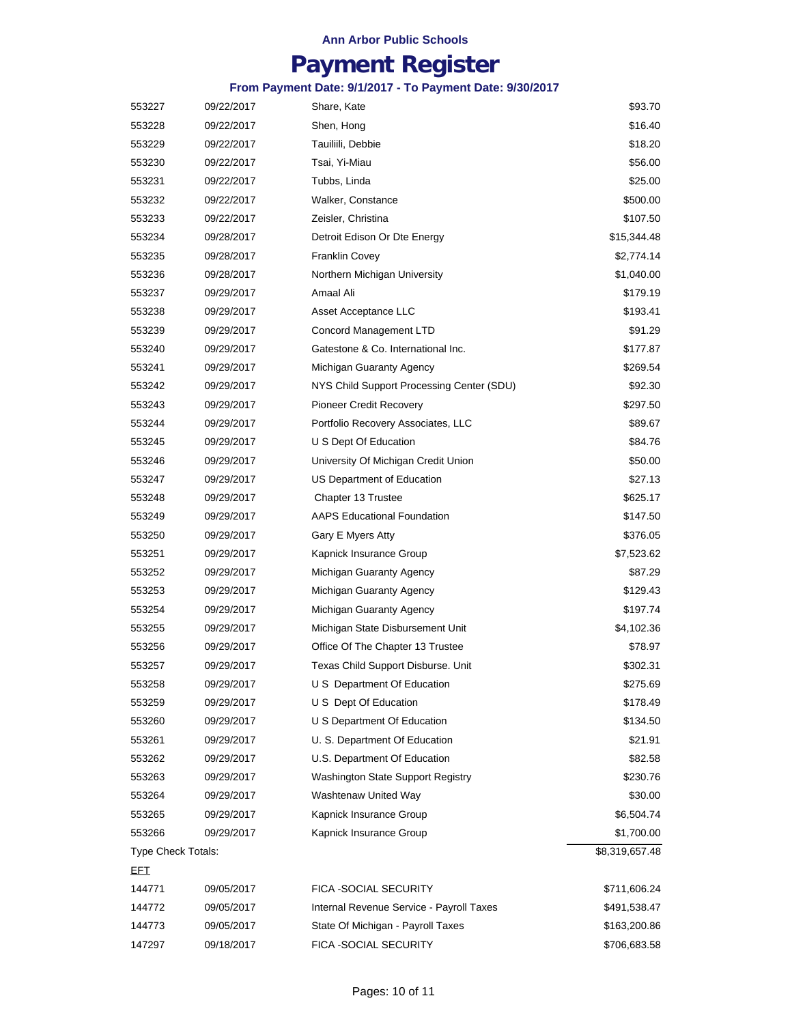## **Payment Register**

| 553227             | 09/22/2017 | Share, Kate                               | \$93.70        |
|--------------------|------------|-------------------------------------------|----------------|
| 553228             | 09/22/2017 | Shen, Hong                                | \$16.40        |
| 553229             | 09/22/2017 | Tauiliili, Debbie                         | \$18.20        |
| 553230             | 09/22/2017 | Tsai, Yi-Miau                             | \$56.00        |
| 553231             | 09/22/2017 | Tubbs, Linda                              | \$25.00        |
| 553232             | 09/22/2017 | Walker, Constance                         | \$500.00       |
| 553233             | 09/22/2017 | Zeisler, Christina                        | \$107.50       |
| 553234             | 09/28/2017 | Detroit Edison Or Dte Energy              | \$15,344.48    |
| 553235             | 09/28/2017 | <b>Franklin Covey</b>                     | \$2,774.14     |
| 553236             | 09/28/2017 | Northern Michigan University              | \$1,040.00     |
| 553237             | 09/29/2017 | Amaal Ali                                 | \$179.19       |
| 553238             | 09/29/2017 | Asset Acceptance LLC                      | \$193.41       |
| 553239             | 09/29/2017 | Concord Management LTD                    | \$91.29        |
| 553240             | 09/29/2017 | Gatestone & Co. International Inc.        | \$177.87       |
| 553241             | 09/29/2017 | Michigan Guaranty Agency                  | \$269.54       |
| 553242             | 09/29/2017 | NYS Child Support Processing Center (SDU) | \$92.30        |
| 553243             | 09/29/2017 | Pioneer Credit Recovery                   | \$297.50       |
| 553244             | 09/29/2017 | Portfolio Recovery Associates, LLC        | \$89.67        |
| 553245             | 09/29/2017 | U S Dept Of Education                     | \$84.76        |
| 553246             | 09/29/2017 | University Of Michigan Credit Union       | \$50.00        |
| 553247             | 09/29/2017 | US Department of Education                | \$27.13        |
| 553248             | 09/29/2017 | Chapter 13 Trustee                        | \$625.17       |
| 553249             | 09/29/2017 | <b>AAPS Educational Foundation</b>        | \$147.50       |
| 553250             | 09/29/2017 | Gary E Myers Atty                         | \$376.05       |
| 553251             | 09/29/2017 | Kapnick Insurance Group                   | \$7,523.62     |
| 553252             | 09/29/2017 | Michigan Guaranty Agency                  | \$87.29        |
| 553253             | 09/29/2017 | Michigan Guaranty Agency                  | \$129.43       |
| 553254             | 09/29/2017 | Michigan Guaranty Agency                  | \$197.74       |
| 553255             | 09/29/2017 | Michigan State Disbursement Unit          | \$4,102.36     |
| 553256             | 09/29/2017 | Office Of The Chapter 13 Trustee          | \$78.97        |
| 553257             | 09/29/2017 | Texas Child Support Disburse. Unit        | \$302.31       |
| 553258             | 09/29/2017 | U S Department Of Education               | \$275.69       |
| 553259             | 09/29/2017 | U S Dept Of Education                     | \$178.49       |
| 553260             | 09/29/2017 | U S Department Of Education               | \$134.50       |
| 553261             | 09/29/2017 | U. S. Department Of Education             | \$21.91        |
| 553262             | 09/29/2017 | U.S. Department Of Education              | \$82.58        |
| 553263             | 09/29/2017 | Washington State Support Registry         | \$230.76       |
| 553264             | 09/29/2017 | Washtenaw United Way                      | \$30.00        |
| 553265             | 09/29/2017 | Kapnick Insurance Group                   | \$6,504.74     |
| 553266             | 09/29/2017 | Kapnick Insurance Group                   | \$1,700.00     |
| Type Check Totals: |            |                                           | \$8,319,657.48 |
| <u>EFT</u>         |            |                                           |                |
| 144771             | 09/05/2017 | FICA -SOCIAL SECURITY                     | \$711,606.24   |
| 144772             | 09/05/2017 | Internal Revenue Service - Payroll Taxes  | \$491,538.47   |
| 144773             | 09/05/2017 | State Of Michigan - Payroll Taxes         | \$163,200.86   |
| 147297             | 09/18/2017 | FICA -SOCIAL SECURITY                     | \$706,683.58   |